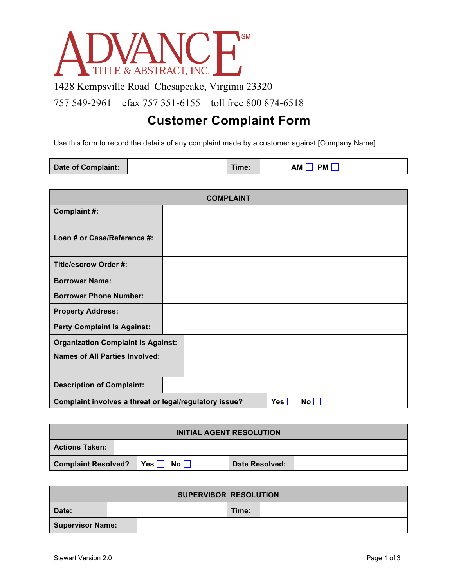

1428 Kempsville Road Chesapeake, Virginia 23320

757 549-2961 efax 757 351-6155 toll free 800 874-6518

## **Customer Complaint Form**

Use this form to record the details of any complaint made by a customer against [Company Name].

| <b>Date of Complaint:</b> |  | Time: | АM<br><b>PM</b> |
|---------------------------|--|-------|-----------------|
|---------------------------|--|-------|-----------------|

| <b>COMPLAINT</b>                                                                       |  |  |  |  |
|----------------------------------------------------------------------------------------|--|--|--|--|
| Complaint #:                                                                           |  |  |  |  |
|                                                                                        |  |  |  |  |
| Loan # or Case/Reference #:                                                            |  |  |  |  |
| <b>Title/escrow Order #:</b>                                                           |  |  |  |  |
| <b>Borrower Name:</b>                                                                  |  |  |  |  |
| <b>Borrower Phone Number:</b>                                                          |  |  |  |  |
| <b>Property Address:</b>                                                               |  |  |  |  |
| <b>Party Complaint Is Against:</b>                                                     |  |  |  |  |
| <b>Organization Complaint Is Against:</b>                                              |  |  |  |  |
| <b>Names of All Parties Involved:</b>                                                  |  |  |  |  |
| <b>Description of Complaint:</b>                                                       |  |  |  |  |
| Complaint involves a threat or legal/regulatory issue?<br>$Yes \vert$<br>$\mathsf{No}$ |  |  |  |  |

| <b>INITIAL AGENT RESOLUTION</b> |  |                             |  |                |  |
|---------------------------------|--|-----------------------------|--|----------------|--|
| <b>Actions Taken:</b>           |  |                             |  |                |  |
| <b>Complaint Resolved?</b>      |  | $\Box$ Yes $\Box$ No $\Box$ |  | Date Resolved: |  |

| <b>SUPERVISOR RESOLUTION</b> |  |  |       |  |
|------------------------------|--|--|-------|--|
| Date:                        |  |  | Time: |  |
| <b>Supervisor Name:</b>      |  |  |       |  |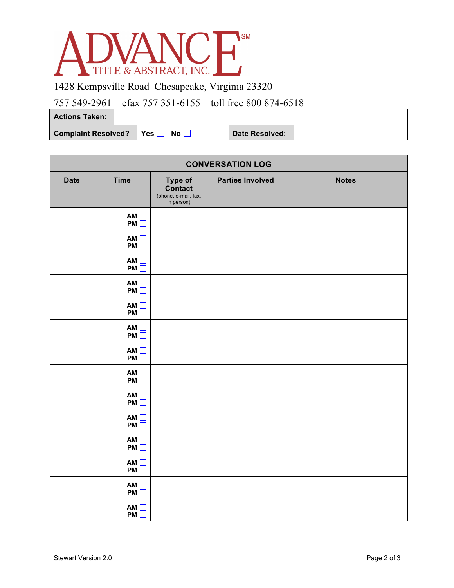

1428 Kempsville Road Chesapeake, Virginia 23320

## 757 549-2961 efax 757 351-6155 toll free 800 874-6518

**Actions Taken:**

Complaint Resolved? | Yes | No | Date Resolved:

| <b>CONVERSATION LOG</b> |                       |                                                                 |                         |              |  |  |
|-------------------------|-----------------------|-----------------------------------------------------------------|-------------------------|--------------|--|--|
| <b>Date</b>             | <b>Time</b>           | Type of<br><b>Contact</b><br>(phone, e-mail, fax,<br>in person) | <b>Parties Involved</b> | <b>Notes</b> |  |  |
|                         | AM<br>PM <sub>D</sub> |                                                                 |                         |              |  |  |
|                         | AM<br>PM              |                                                                 |                         |              |  |  |
|                         | AM<br>PM              |                                                                 |                         |              |  |  |
|                         | AM<br>PM <sub>D</sub> |                                                                 |                         |              |  |  |
|                         | AM<br>PM              |                                                                 |                         |              |  |  |
|                         | AM<br>PM              |                                                                 |                         |              |  |  |
|                         | AM<br>PM              |                                                                 |                         |              |  |  |
|                         | AM<br>PM <sub>D</sub> |                                                                 |                         |              |  |  |
|                         | AM<br>PM <sub>D</sub> |                                                                 |                         |              |  |  |
|                         | AM<br>PM              |                                                                 |                         |              |  |  |
|                         | AM<br>PM <sub>D</sub> |                                                                 |                         |              |  |  |
|                         | AM<br>PM              |                                                                 |                         |              |  |  |
|                         | AM<br>PM              |                                                                 |                         |              |  |  |
|                         | AM<br>PM <sub>D</sub> |                                                                 |                         |              |  |  |